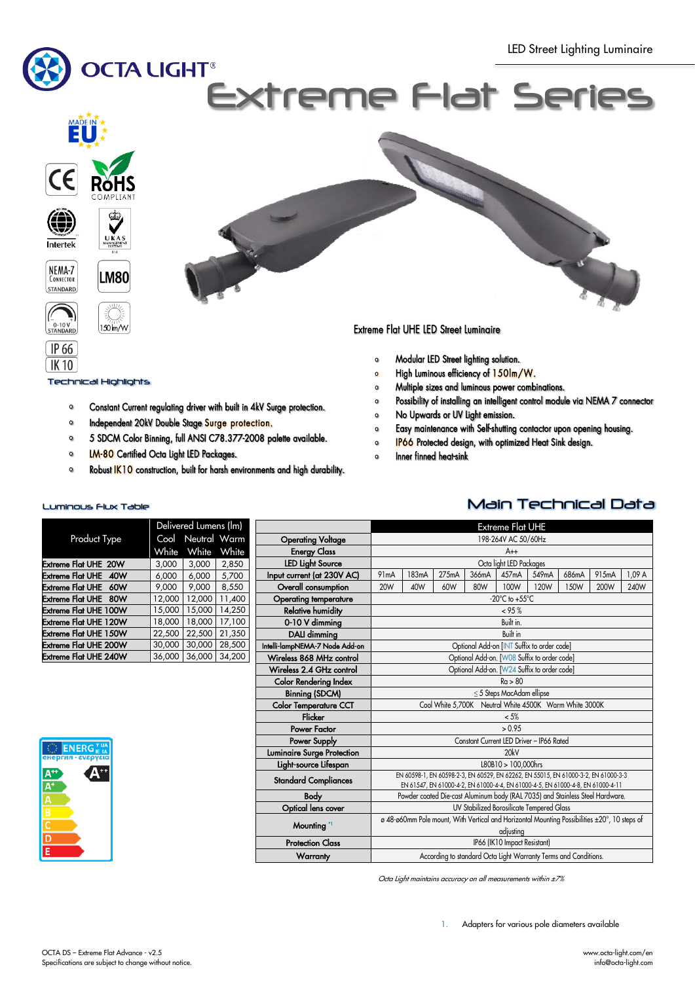

Technical Highlights

 $TK10$ 

- $\bullet$ Constant Current regulating driver with built in 4kV Surge protection.
- $\bullet$ Independent 20kV Double Stage Surge protection.
- 5 SDCM Color Binning, full ANSI C78.377-2008 palette available.  $\mathbf{o}$
- **LM-80** Certified Octa Light LED Packages.  $\circ$
- Robust IK10 construction, built for harsh environments and high durability.  $\circ$
- Modular LED Street lighting solution.  $\bullet$
- High Luminous efficiency of 150lm/W.  $\bullet$
- Multiple sizes and luminous power combinations.  $\circ$
- Possibility of installing an intelligent control module via NEMA 7 connector  $\circ$
- No Upwards or UV Light emission.  $\bullet$
- $\bullet$ Easy maintenance with Self-shutting contactor upon opening housing.
- IP66 Protected design, with optimized Heat Sink design.  $\circ$
- Inner finned heat-sink  $\bullet$

## Luminous Flux Table Main Technical Data

|                                | Delivered Lumens (lm) |              |        |  |  |  |
|--------------------------------|-----------------------|--------------|--------|--|--|--|
| <b>Product Type</b>            | Cool                  | Neutral Warm |        |  |  |  |
|                                | White                 | White        | White  |  |  |  |
| <b>Extreme Flat UHE 20W</b>    | 3,000                 | 3,000        | 2,850  |  |  |  |
| <b>Extreme Flat UHE</b><br>40W | 6,000                 | 6.000        | 5.700  |  |  |  |
| Extreme Flat UHE<br>60W        | 9,000                 | 9,000        | 8,550  |  |  |  |
| Extreme Flat UHE<br>80W        | 12.000                | 12,000       | 11.400 |  |  |  |
| Extreme Flat UHE 100W          | 15,000                | 15,000       | 14,250 |  |  |  |
| Extreme Flat UHE 120W          | 18,000                | 18,000       | 17,100 |  |  |  |
| <b>Extreme Flat UHE 150W</b>   | 22,500                | 22,500       | 21,350 |  |  |  |
| Extreme Flat UHE 200W          | 30,000                | 30,000       | 28,500 |  |  |  |
| <b>Extreme Flat UHE 240W</b>   | 36,000                | 36,000       | 34,200 |  |  |  |

|                                | Extreme Flat <u>UHE</u>                                                                      |       |       |                                                                                                                                                                       |                                |       |       |       |        |
|--------------------------------|----------------------------------------------------------------------------------------------|-------|-------|-----------------------------------------------------------------------------------------------------------------------------------------------------------------------|--------------------------------|-------|-------|-------|--------|
| <b>Operating Voltage</b>       | 198-264V AC 50/60Hz                                                                          |       |       |                                                                                                                                                                       |                                |       |       |       |        |
| <b>Energy Class</b>            | $A++$                                                                                        |       |       |                                                                                                                                                                       |                                |       |       |       |        |
| <b>LED Light Source</b>        | Octa light LED Packages                                                                      |       |       |                                                                                                                                                                       |                                |       |       |       |        |
| Input current (at 230V AC)     | 91mA                                                                                         | 183mA | 275mA | 366mA                                                                                                                                                                 | 457 <sub>m</sub> A             | 549mA | 686mA | 915mA | 1,09 A |
| Overall consumption            | <b>20W</b>                                                                                   | 40W   | 60W   | 80W                                                                                                                                                                   | 100W                           | 120W  | 150W  | 200W  | 240W   |
| <b>Operating temperature</b>   | $-20^{\circ}$ C to $+55^{\circ}$ C                                                           |       |       |                                                                                                                                                                       |                                |       |       |       |        |
| <b>Relative humidity</b>       | < 95%                                                                                        |       |       |                                                                                                                                                                       |                                |       |       |       |        |
| 0-10 V dimming                 |                                                                                              |       |       |                                                                                                                                                                       | Built in.                      |       |       |       |        |
| DALI dimming                   |                                                                                              |       |       |                                                                                                                                                                       | Built in                       |       |       |       |        |
| Intelli-lampNEMA-7 Node Add-on |                                                                                              |       |       | Optional Add-on [INT Suffix to order code]                                                                                                                            |                                |       |       |       |        |
| Wireless 868 MHz control       |                                                                                              |       |       | Optional Add-on. [W08 Suffix to order code]                                                                                                                           |                                |       |       |       |        |
| Wireless 2.4 GHz control       |                                                                                              |       |       | Optional Add-on. [W24 Suffix to order code]                                                                                                                           |                                |       |       |       |        |
| <b>Color Rendering Index</b>   |                                                                                              |       |       |                                                                                                                                                                       | Ra > 80                        |       |       |       |        |
| <b>Binning (SDCM)</b>          |                                                                                              |       |       |                                                                                                                                                                       | $\leq$ 5 Steps MacAdam ellipse |       |       |       |        |
| <b>Color Temperature CCT</b>   | Cool White 5,700K Neutral White 4500K Warm White 3000K                                       |       |       |                                                                                                                                                                       |                                |       |       |       |        |
| Flicker                        |                                                                                              |       |       |                                                                                                                                                                       | $< 5\%$                        |       |       |       |        |
| Power Factor                   |                                                                                              |       |       |                                                                                                                                                                       | > 0.95                         |       |       |       |        |
| Power Supply                   |                                                                                              |       |       | Constant Current LED Driver - IP66 Rated                                                                                                                              |                                |       |       |       |        |
| Luminaire Surge Protection     |                                                                                              |       |       |                                                                                                                                                                       | 20kV                           |       |       |       |        |
| Light-source Lifespan          |                                                                                              |       |       |                                                                                                                                                                       | L80B10 > 100,000hrs            |       |       |       |        |
| <b>Standard Compliances</b>    |                                                                                              |       |       | EN 60598-1, EN 60598-2-3, EN 60529, EN 62262, EN 55015, EN 61000-3-2, EN 61000-3-3<br>EN 61547, EN 61000-4-2, EN 61000-4-4, EN 61000-4-5, EN 61000-4-8, EN 61000-4-11 |                                |       |       |       |        |
| <b>Body</b>                    |                                                                                              |       |       | Powder coated Die-cast Aluminum body (RAL 7035) and Stainless Steel Hardware.                                                                                         |                                |       |       |       |        |
| Optical lens cover             | UV Stabilized Borosilicate Tempered Glass                                                    |       |       |                                                                                                                                                                       |                                |       |       |       |        |
|                                | ø 48-ø60mm Pole mount, With Vertical and Horizontal Mounting Possibilities ±20°, 10 steps of |       |       |                                                                                                                                                                       |                                |       |       |       |        |
| Mounting <sup>*1</sup>         | adjusting                                                                                    |       |       |                                                                                                                                                                       |                                |       |       |       |        |
| <b>Protection Class</b>        | IP66 (IK10 Impact Resistant)                                                                 |       |       |                                                                                                                                                                       |                                |       |       |       |        |
| Warranty                       | According to standard Octa Light Warranty Terms and Conditions.                              |       |       |                                                                                                                                                                       |                                |       |       |       |        |
|                                |                                                                                              |       |       |                                                                                                                                                                       |                                |       |       |       |        |





1. Adapters for various pole diameters available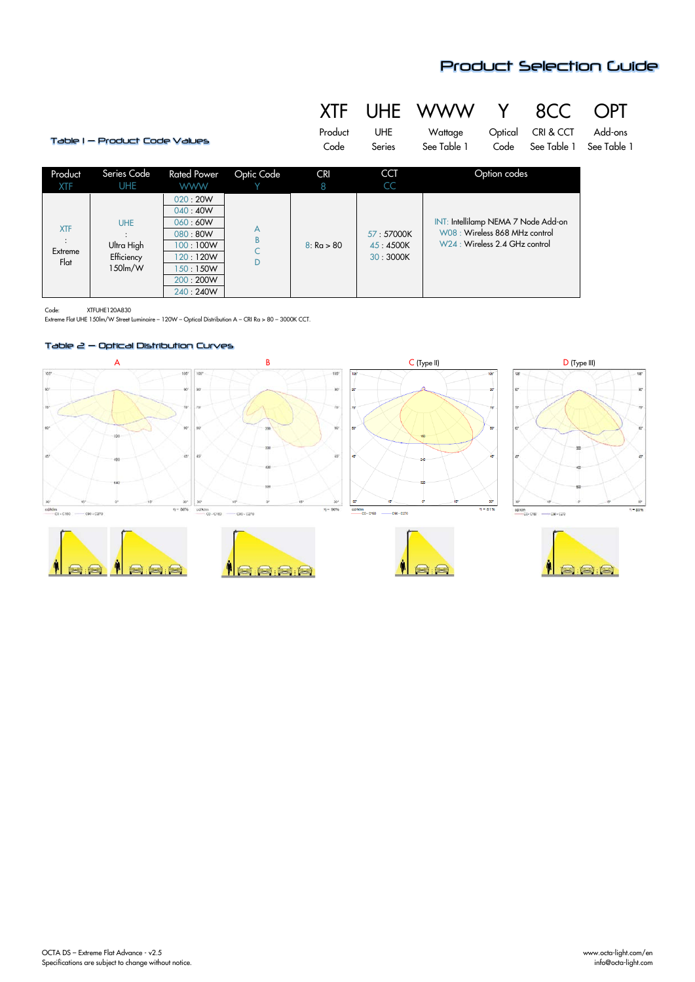

# XTF UHE WWW Y 8CC OPT

| Table I — Product Code Values |                                                      |                                                                                                          | Product<br>Code         | <b>UHE</b><br>Series | Wattage<br>See Table 1            | Optical<br>Code                                                                                        | CRI & CCT<br>See Table 1 | Add-ons<br>See Table 1 |  |
|-------------------------------|------------------------------------------------------|----------------------------------------------------------------------------------------------------------|-------------------------|----------------------|-----------------------------------|--------------------------------------------------------------------------------------------------------|--------------------------|------------------------|--|
| Product<br><b>XTF</b>         | Series Code<br><b>UHE</b>                            | <b>Rated Power</b><br><b>WWW</b>                                                                         | Optic Code              | <b>CRI</b><br>8      | <b>CCT</b><br>CC                  | Option codes                                                                                           |                          |                        |  |
| <b>XTF</b><br>Extreme<br>Flat | <b>UHE</b><br>Ultra High<br>Efficiency<br>$150$ lm/W | 020:20W<br>040:40W<br>060:60W<br>080:80W<br>100:100W<br>120:120W<br>150:150W<br>200 : 200W<br>240 : 240W | A<br>$\sf{B}$<br>Ċ<br>D | 8: Ra > 80           | 57:57000K<br>45:4500K<br>30:3000K | INT: Intellilamp NEMA 7 Node Add-on<br>W08: Wireless 868 MHz control<br>W24 : Wireless 2.4 GHz control |                          |                        |  |

ı.

Code: XTFUHE120A830

Extreme Flat UHE 150lm/W Street Luminaire – 120W – Optical Distribution A – CRI Ra > 80 – 3000K CCT.

## Table 2 – Optical Distribution Curves